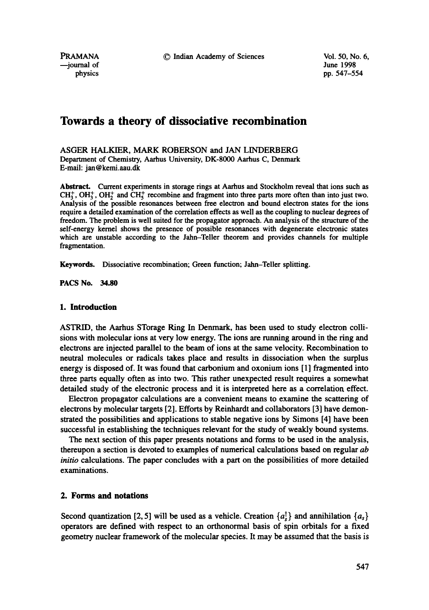PRAMANA **C** Indian Academy of Sciences Vol. 50, No. 6,<br>
—iournal of June 1998

--journal of June 1998

physics pp. 547-554

# **Towards a theory of dissociative recombination**

ASGER HALKIER, MARK ROBERSON and JAN LINDERBERG Department of Chemistry, Aarhus University, DK-8000 Aarhus C, Denmark E-mail: jan@kemi.aau.dk

Abstract. Current experiments in storage rings **at** Aarhus and Stockholm reveal that ions such as  $CH<sub>1</sub><sup>+</sup>$ , OH<sub>2</sub><sup>+</sup>, OH<sub>2</sub><sup>+</sup> and CH<sub>2</sub><sup>+</sup> recombine and fragment into three parts more often than into just two. Analysis of the possible resonances between free electron and bound electron states for the ions require a detailed examination of the correlation effects as well as the coupling to nuclear degrees of freedom. The problem is well suited for the propagator approach. An analysis of the structure of the self-energy kernel shows the presence of possible resonances with degenerate electronic states which are unstable according to the Jahn-Teller theorem and provides channels for multiple fragmentation.

Keywords, Dissociative recombination; Green function; Jahn-Teller splitting.

**PACS No. 34.80** 

#### **1. Introduction**

ASTRID, the Aarhus STorage Ring In Denmark, has been used to study electron collisions with molecular ions at very low energy. The ions are running around in the ring and electrons are injected parallel to the beam of ions at the same velocity. Recombination to neutral molecules or radicals takes place and results in dissociation when the surplus energy is disposed of. It was found that carbonium and oxonium ions [1] fragmented into three parts equally often as into two. This rather unexpected result requires a somewhat detailed study of the electronic process and it is interpreted here as a correlation effect.

Electron propagator calculations are a convenient means to examine the scattering of electrons by molecular targets [2]. Efforts by Reinhardt and collaborators [3] have demonstrated the possibilities and applications to stable negative ions by Simons [4] have been successful in establishing the techniques relevant for the study of weakly bound systems.

The next section of this paper presents notations and forms to be used in the analysis, thereupon a section is devoted to examples of numerical calculations based on regular *ab initio* calculations. The paper concludes with a part on the possibilities of more detailed examinations.

# **2. Forms and notations**

Second quantization [2, 5] will be used as a vehicle. Creation  $\{a_i\}$  and annihilation  $\{a_s\}$ operators are defined with respect to an orthonormal basis of spin orbitals for a fixed geometry nuclear framework of the molecular species. It may be assumed that the basis is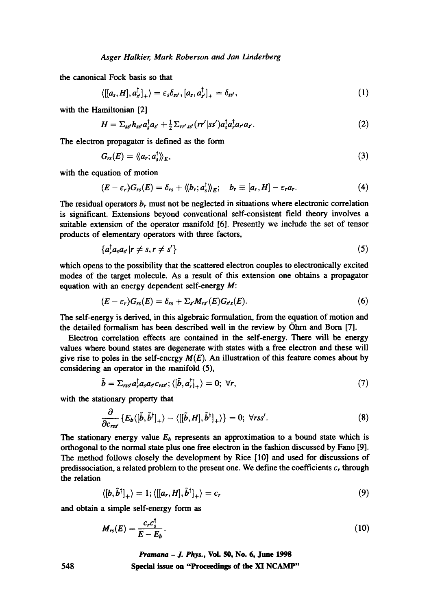the canonical Fock basis so that

$$
\langle [[as, H], as'†_{+}\rangle = \varepsilons\deltass', [as, as'†_{+} = \deltass', \qquad (1)
$$

with the Hamiltonian [2]

$$
H = \sum_{ss'} h_{ss'} a_s^\dagger a_{s'} + \frac{1}{2} \sum_{rr'} s_{s'} (rr' \vert ss') a_s^\dagger a_r^\dagger a_{r'} a_{s'}.
$$
 (2)

The electron propagator is defined as the form

$$
G_{rs}(E) = \langle \langle a_r; a_s^{\dagger} \rangle \rangle_E, \tag{3}
$$

with the equation of motion

$$
(E-\varepsilon_r)G_{rs}(E)=\delta_{rs}+\langle\langle b_r;a_s^{\dagger}\rangle\rangle_E;\quad b_r\equiv [a_r,H]-\varepsilon_ra_r. \tag{4}
$$

The residual operators  $b_r$  must not be neglected in situations where electronic correlation is significant. Extensions beyond conventional self-consistent field theory involves a suitable extension of the operator manifold [6]. Presently we include the set of tensor products of elementary operators with three factors,

$$
\{a_i^{\dagger} a_s a_{s'} | r \neq s, r \neq s'\}\tag{5}
$$

which opens to the possibility that the scattered electron couples to electronically excited modes of the target molecule. As a result of this extension one obtains a propagator equation with an energy dependent self-energy M:

$$
(E-\varepsilon_r)G_{rs}(E)=\delta_{rs}+\Sigma_{s'}M_{rs'}(E)G_{s's}(E). \hspace{1cm} (6)
$$

The self-energy is derived, in this algebraic formulation, from the equation of motion and the detailed formalism has been described well in the review by Ohm and Born [7].

Electron correlation effects are contained in the self-energy. There will be energy values where bound states are degenerate with states with a free electron and these will give rise to poles in the self-energy  $M(E)$ . An illustration of this feature comes about by considering an operator in the manifold (5),

$$
\tilde{b} = \sum_{rss'} a_r^\dagger a_s a_{s'} c_{rss'}; \langle [\tilde{b}, a_r^\dagger]_+ \rangle = 0; \ \forall r,
$$
\n<sup>(7)</sup>

with the stationary property that

$$
\frac{\partial}{\partial c_{rsr'}}\left\{E_b\langle[\tilde{b},\tilde{b}^\dagger]_+\rangle-\langle[[\tilde{b},H],\tilde{b}^\dagger]_+\rangle\right\}=0;\,\,\forall rss'.
$$
\n(8)

The stationary energy value  $E_b$  represents an approximation to a bound state which is orthogonal to the normal state plus one free electron in the fashion discussed by Fano [9]. The method follows closely the development by Rice [10] and used for discussions of predissociation, a related problem to the present one. We define the coefficients c, through the relation

$$
\langle [b,\tilde{b}^\dagger]_+\rangle = 1; \langle [[a_r, H], b^\dagger]_+\rangle = c_r \tag{9}
$$

and obtain a simple self-energy form as

$$
M_{rs}(E)=\frac{c_r c_s^{\dagger}}{E-E_b}.
$$
\n(10)

*Pramana - J. Phys.,* **Vol. 50, No. 6, June 1998** 

**Special issue on "Proceedings of the XI NCAMP"** 

548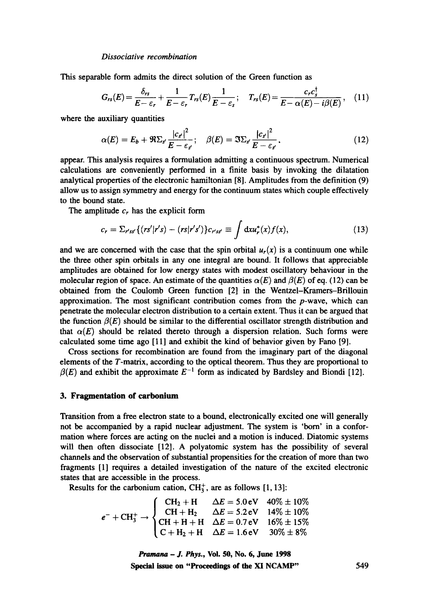#### *Dissociative recombination*

This separable form admits the direct solution of the Green function as

$$
G_{rs}(E) = \frac{\delta_{rs}}{E - \varepsilon_r} + \frac{1}{E - \varepsilon_r} T_{rs}(E) \frac{1}{E - \varepsilon_s}; \quad T_{rs}(E) = \frac{c_r c_s^{\dagger}}{E - \alpha(E) - i\beta(E)}, \quad (11)
$$

where the auxiliary quantities

$$
\alpha(E) = E_b + \Re \Sigma_{s'} \frac{|c_{s'}|^2}{E - \varepsilon_{s'}}; \quad \beta(E) = \Im \Sigma_{s'} \frac{|c_{s'}|^2}{E - \varepsilon_{s'}}.
$$
 (12)

appear. This analysis requires a formulation admitting a continuous spectrum. Numerical calculations are conveniently performed in a finite basis by invoking the dilatation analytical properties of the electronic hamiltonian [8]. Amplitudes from the definition (9) allow us to assign symmetry and energy for the continuum states which couple effectively to the bound state.

The amplitude  $c_r$  has the explicit form

$$
c_r = \sum_{r'ss'} \{ (rs'|r's) - (rs|r's') \} c_{r'ss'} \equiv \int dx u_r^*(x) f(x), \qquad (13)
$$

and we are concerned with the case that the spin orbital  $u_r(x)$  is a continuum one while the three other spin orbitals in any one integral are bound. It follows that appreciable amplitudes are obtained for low energy states with modest oscillatory behaviour in the molecular region of space. An estimate of the quantities  $\alpha(E)$  and  $\beta(E)$  of eq. (12) can be obtained from the Coulomb Green function [2] in the Wentzel-Kramers-Brillouin approximation. The most significant contribution comes from the  $p$ -wave, which can penetrate the molecular electron distribution to a certain extent. Thus it can be argued that the function  $\beta(E)$  should be similar to the differential oscillator strength distribution and that  $\alpha(E)$  should be related thereto through a dispersion relation. Such forms were calculated some time ago [11] and exhibit the kind of behavior given by Fano [9].

Cross sections for recombination are found from the imaginary part of the diagonal elements of the T-matrix, according to the optical theorem. Thus they are proportional to  $\beta(E)$  and exhibit the approximate  $E^{-1}$  form as indicated by Bardsley and Biondi [12].

#### **3. Fragmentation of carbonium**

Transition from a free electron state to a bound, electronically excited one will generally not be accompanied by a rapid nuclear adjustment. The system is 'born' in a conformation where forces are acting on the nuclei and a motion is induced. Diatomic systems will then often dissociate [12]. A polyatomic system has the possibility of several channels and the observation of substantial propensities for the creation of more than two fragments [1] requires a detailed investigation of the nature of the excited electronic states that are accessible in the process.

Results for the carbonium cation,  $CH_3^+$ , are as follows [1, 13]:

$$
e^- + \text{CH}_3^+ \rightarrow \begin{cases} \text{CH}_2 + \text{H} & \Delta E = 5.0 \text{ eV} & 40\% \pm 10\% \\ \text{CH} + \text{H}_2 & \Delta E = 5.2 \text{ eV} & 14\% \pm 10\% \\ \text{CH} + \text{H} + \text{H} & \Delta E = 0.7 \text{ eV} & 16\% \pm 15\% \\ \text{C} + \text{H}_2 + \text{H} & \Delta E = 1.6 \text{ eV} & 30\% \pm 8\% \end{cases}
$$

*Pramana - J. Phys.,* **Vol. 50, No. 6, June 1998 Special issue on "Proceedings of the XI NCAMP"** 549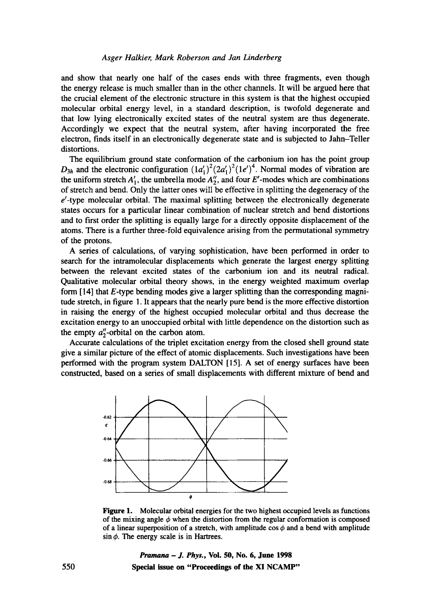# *Asger Halkier, Mark Roberson and Jan Linderberg*

and show that nearly one half of the cases ends with three fragments, even though the energy release is much smaller than in the other channels. It will be argued here that the crucial element of the electronic structure in this system is that the highest occupied molecular orbital energy level, in a standard description, is twofold degenerate and that low lying electronically excited states of the neutral system are thus degenerate. Accordingly we expect that the neutral system, after having incorporated the free electron, finds itself in an electronically degenerate state and is subjected to Jahn-Teller distortions.

The equilibrium ground state conformation of the carbonium ion has the point group  $D_{3h}$  and the electronic configuration  $(1a'_1)^2(2a'_1)^2(1e')^4$ . Normal modes of vibration are the uniform stretch  $A'_1$ , the umbrella mode  $A''_2$ , and four E'-modes which are combinations of stretch and bend. Only the latter ones will be effective in splitting the degeneracy of the  $e'$ -type molecular orbital. The maximal splitting between the electronically degenerate states occurs for a particular linear combination of nuclear stretch and bend distortions and to first order the splitting is equally large for a directly opposite displacement of the atoms. There is a further three-fold equivalence arising from the permutational symmetry of the protons.

A series of calculations, of varying sophistication, have been performed in order to search for the intramolecular displacements which generate the largest energy splitting between the relevant excited states of the carbonium ion and its neutral radical. Qualitative molecular orbital theory shows, in the energy weighted maximum overlap form [14] that E-type bending modes give a larger splitting than the corresponding magnitude stretch, in figure 1. It appears that the nearly pure bend is the more effective distortion in raising the energy of the highest occupied molecular orbital and thus decrease the excitation energy to an unoccupied orbital with little dependence on the distortion such as the empty  $a''_2$ -orbital on the carbon atom.

Accurate calculations of the triplet excitation energy from the closed shell ground state give a similar picture of the effect of atomic displacements. Such investigations have been performed with the program system DALTON [15]. A set of energy surfaces have been constructed, based on a series of small displacements with different mixture of bend and



Figure 1. Molecular orbital energies for the two highest occupied levels as functions of the mixing angle  $\phi$  when the distortion from the regular conformation is composed of a linear superposition of a stretch, with amplitude  $\cos \phi$  and a bend with amplitude  $sin \phi$ . The energy scale is in Hartrees.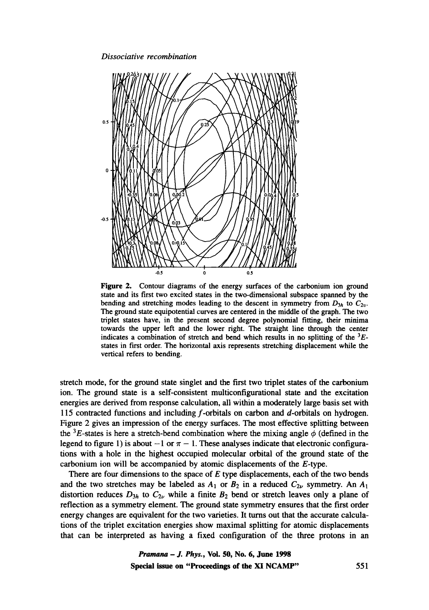#### *Dissociative recombination*



Figure 2. Contour diagrams of the energy surfaces of the carbonium ion ground state and its first two excited states in the two-dimensional subspace spanned by the bending and stretching modes leading to the descent in symmetry from  $D_{3h}$  to  $C_{2v}$ . The ground state equipotential curves are centered in the middle of the graph. The two triplet states have, in the present second degree polynomial fitting, their minima towards the upper left and the lower right. The straight line through the center indicates a combination of stretch and bend which results in no splitting of the  ${}^{3}E$ states in first order. The horizontal axis represents stretching displacement while the vertical refers to bending.

stretch mode, for the ground state singlet and the first two triplet states of the carbonium ion. The ground state is a self-consistent multiconfigurational state and the excitation energies are derived from response calculation, all within a moderately large basis set with 115 contracted functions and including f-orbitals on carbon and d-orbitals on hydrogen. Figure 2 gives an impression of the energy surfaces. The most effective splitting between the <sup>3</sup>E-states is here a stretch-bend combination where the mixing angle  $\phi$  (defined in the legend to figure 1) is about  $-1$  or  $\pi - 1$ . These analyses indicate that electronic configurations with a hole in the highest occupied molecular orbital of the ground state of the carbonium ion will be accompanied by atomic displacements of the E-type.

There are four dimensions to the space of  $E$  type displacements, each of the two bends and the two stretches may be labeled as  $A_1$  or  $B_2$  in a reduced  $C_{2\nu}$  symmetry. An  $A_1$ distortion reduces  $D_{3h}$  to  $C_{2v}$  while a finite  $B_2$  bend or stretch leaves only a plane of reflection as a symmetry element. The ground state symmetry ensures that the first order energy changes are equivalent for the two varieties. It turns out that the accurate calculations of the triplet excitation energies show maximal splitting for atomic displacements that can be interpreted as having a fixed configuration of the three protons in an

> *Pramana - J. Phys.,* **Vol. 50, No. 6, June 1998 Special issue on "Proceedings of the XI NCAMP" 551**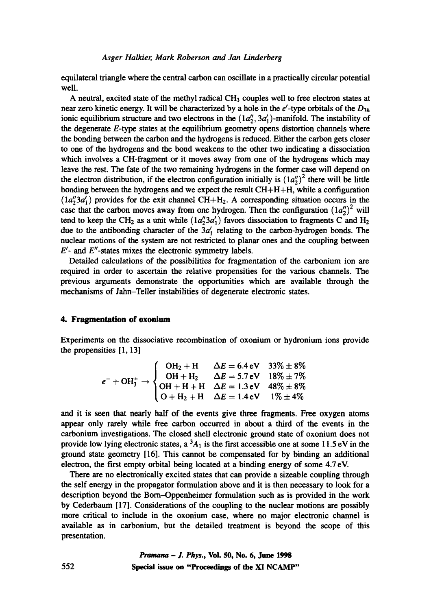#### *Asger Halkier, Mark Roberson and Jan Linderberg*

equilateral triangle where the central carbon can oscillate in a practically circular potential well.

A neutral, excited state of the methyl radical  $CH<sub>3</sub>$  couples well to free electron states at near zero kinetic energy. It will be characterized by a hole in the e'-type orbitals of the *D3h*  ionic equilibrium structure and two electrons in the  $(1a''_2, 3a'_1)$ -manifold. The instability of the degenerate  $E$ -type states at the equilibrium geometry opens distortion channels where the bonding between the carbon and the hydrogens is reduced. Either the carbon gets closer to one of the hydrogens and the bond weakens to the other two indicating a dissociation which involves a CH-fragment or it moves away from one of the hydrogens which may leave the rest. The fate of the two remaining hydrogens in the former case will depend on the electron distribution, if the electron configuration initially is  $(1a_2^{\prime\prime})^2$  there will be little bonding between the hydrogens and we expect the result CH+H+H, while a configuration  $(1a/3a'_1)$  provides for the exit channel CH+H<sub>2</sub>. A corresponding situation occurs in the case that the carbon moves away from one hydrogen. Then the configuration  $(l\alpha_{j}^{\prime\prime})^2$  will tend to keep the CH<sub>2</sub> as a unit while  $(1a_2''3a_1')$  favors dissociation to fragments C and H<sub>2</sub> due to the antibonding character of the  $3a'_{1}$  relating to the carbon-hydrogen bonds. The nuclear motions of the system are not restricted to planar ones and the coupling between  $E'$ - and  $E''$ -states mixes the electronic symmetry labels.

Detailed calculations of the possibilities for fragmentation of the carbonium ion are required in order to ascertain the relative propensities for the various channels. The previous arguments demonstrate the opportunities which are available through the mechanisms of Jahn-Teller instabilities of degenerate electronic states.

#### **4. Fragmentation of oxonium**

Experiments on the dissociative recombination of oxonium or hydronium ions provide the propensities [1, 13]

$$
e^- + \text{OH}_3^+ \rightarrow \begin{cases} \text{OH}_2 + \text{H} & \Delta E = 6.4 \text{ eV} & 33\% \pm 8\% \\ \text{OH} + \text{H}_2 & \Delta E = 5.7 \text{ eV} & 18\% \pm 7\% \\ \text{OH} + \text{H} + \text{H} & \Delta E = 1.3 \text{ eV} & 48\% \pm 8\% \\ \text{O} + \text{H}_2 + \text{H} & \Delta E = 1.4 \text{ eV} & 1\% \pm 4\% \end{cases}
$$

and it is seen that nearly half of the events give three fragments. Free oxygen atoms appear only rarely while free carbon occurred in about a third of the events in the carbonium investigations. The closed shell electronic ground state of oxonium does not provide low lying electronic states, a  ${}^{3}A_1$  is the first accessible one at some 11.5 eV in the ground state geometry [16]. This cannot be compensated for by binding an additional electron, the first empty orbital being located at a binding energy of some 4.7 eV.

There are no electronically excited states that can provide a sizeable coupling through the self energy in the propagator formulation above and it is then necessary to look for a description beyond the Born-Oppenheimer formulation such as is provided in the work by Cederbaum [17]. Considerations of the coupling to the nuclear motions are possibly more critical to include in the oxonium case, where no major electronic channel is available as in carbonium, but the detailed treatment is beyond the scope of this presentation.

> *Pramana - .I. Phys.,* **Vol. 50, No. 6, June 1998**  Special issue on "Proceedings of the XI NCAMP"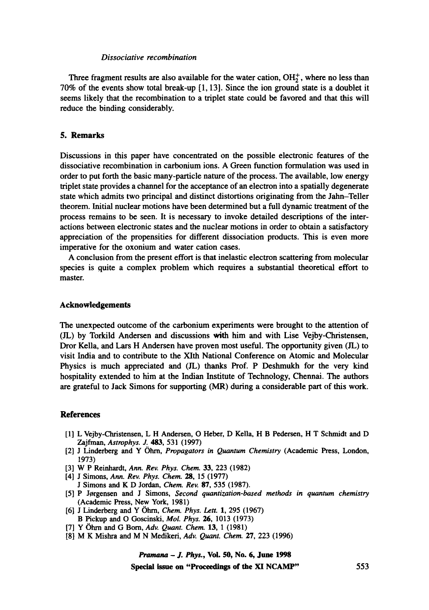#### $Disocative$  *recombination*

Three fragment results are also available for the water cation,  $OH<sub>2</sub><sup>+</sup>$ , where no less than 70% of the events show total break-up [1, 13]. Since the ion ground state is a doublet **it**  seems likely that the recombination to a triplet state could be favored and that this will reduce the binding considerably.

# **5. Remarks**

Discussions in this paper have concentrated on the possible electronic features of the dissociative recombination in carbonium ions. A Green function formulation was used in order to put forth the basic many-particle nature of the process. The available, low energy triplet state provides a channel for the acceptance of an electron into a spatially degenerate state which admits two principal and distinct distortions originating from the Jahn-Teller theorem. Initial nuclear motions have been determined but a full dynamic treatment of the process remains to be seen. It is necessary to invoke detailed descriptions of the interactions between electronic states and the nuclear motions in order to obtain a satisfactory appreciation of the propensities for different dissociation products. This is even more imperative for the oxonium and water cation cases.

A conclusion from the present effort is that inelastic electron scattering from molecular species is quite a complex problem which requires a substantial theoretical effort to master.

## **Acknowledgements**

The unexpected outcome of the carbonium experiments were brought to the attention of (JL) by Torkild Andersen and discussions with him and with Lise Vejby-Christensen, Dror Kella, and Lars H Andersen have proven most useful. The opportunity given (JL) to visit India and to contribute to the XIth National Conference on Atomic and Molecular Physics is much appreciated and (JL) thanks Prof. P Deshmukh for the very kind hospitality extended to him at the Indian Institute of Technology, Chermal. The authors are grateful to Jack Simons for supporting (MR) during a considerable part of this work.

#### **References**

- [1] L Vejby-Christensen, L H Andersen, O Heber, D Kella, H B Pedersen, H T Schmidt and D Zajfman, *Astrophys. J. 483,* 531 (1997)
- [2] J Linderberg and Y Ohm, *Propagators in Quantum Chemistry* (Academic Press, London, 1973)
- [3] W P Reinhardt, *Ann. Rev. Phys. Chem.* 33, 223 (1982)
- [4] J Simons, *Ann. Rev. Phys. Chem.* 28, 15 (1977)
- J Simons and K D Jordan, *Chem. Rev.* 87, 535 (1987).
- [5] P J0rgensen and J Simons, *Second quantization-based methods in quantum chemistry*  (Academic Press, New York, 1981)
- [6] J Linderberg and Y Ohm, *Chem. Phys.* Lett. 1, 295 (1967) B Pickup and O Goscinski, *Mol. Phys. 26,* 1013 (1973)
- [7] Y Ohm and G Born, *Adv. Quant. Chem.* 13, 1 (1981)
- [8] M K Mishra and M N Medikeri, *Adv. Quant. Chem.* 27, 223 (1996)

*Pramana - J. Phys.,* **Vol. 50, No. 6, June 1998** 

**Special issue on "Proceedings of the XI NCAMP"** 553